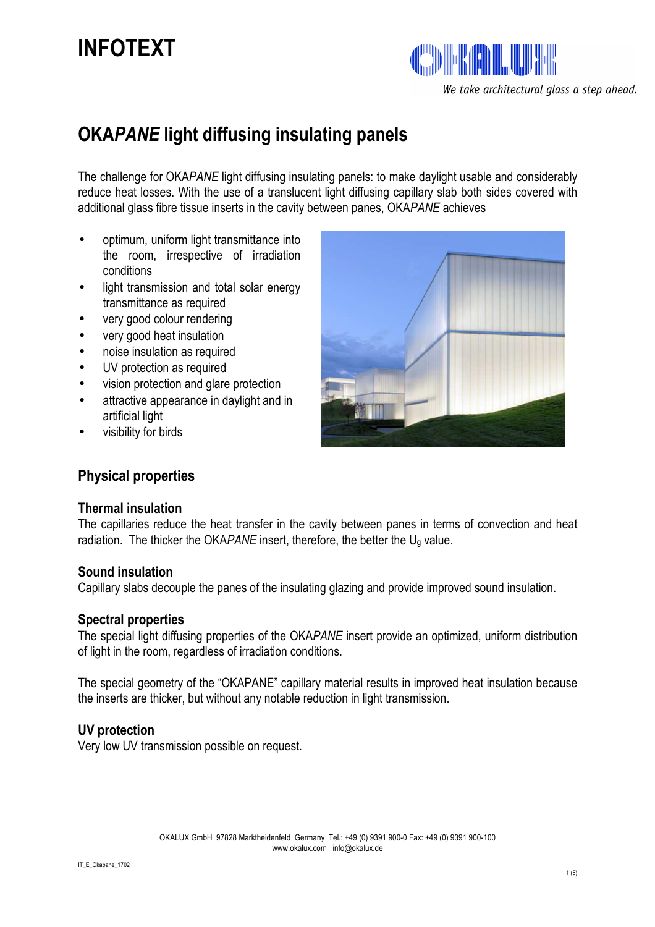# **INFOTEXT**



## **OKA***PANE* **light diffusing insulating panels**

The challenge for OKA*PANE* light diffusing insulating panels: to make daylight usable and considerably reduce heat losses. With the use of a translucent light diffusing capillary slab both sides covered with additional glass fibre tissue inserts in the cavity between panes, OKA*PANE* achieves

- optimum, uniform light transmittance into the room, irrespective of irradiation conditions
- light transmission and total solar energy transmittance as required
- very good colour rendering
- very good heat insulation
- noise insulation as required
- UV protection as required
- vision protection and glare protection
- attractive appearance in daylight and in artificial light
- visibility for birds

## **Physical properties**

#### **Thermal insulation**

The capillaries reduce the heat transfer in the cavity between panes in terms of convection and heat radiation. The thicker the OKAPANE insert, therefore, the better the  $U_q$  value.

#### **Sound insulation**

Capillary slabs decouple the panes of the insulating glazing and provide improved sound insulation.

#### **Spectral properties**

The special light diffusing properties of the OKA*PANE* insert provide an optimized, uniform distribution of light in the room, regardless of irradiation conditions.

The special geometry of the "OKAPANE" capillary material results in improved heat insulation because the inserts are thicker, but without any notable reduction in light transmission.

#### **UV protection**

Very low UV transmission possible on request.

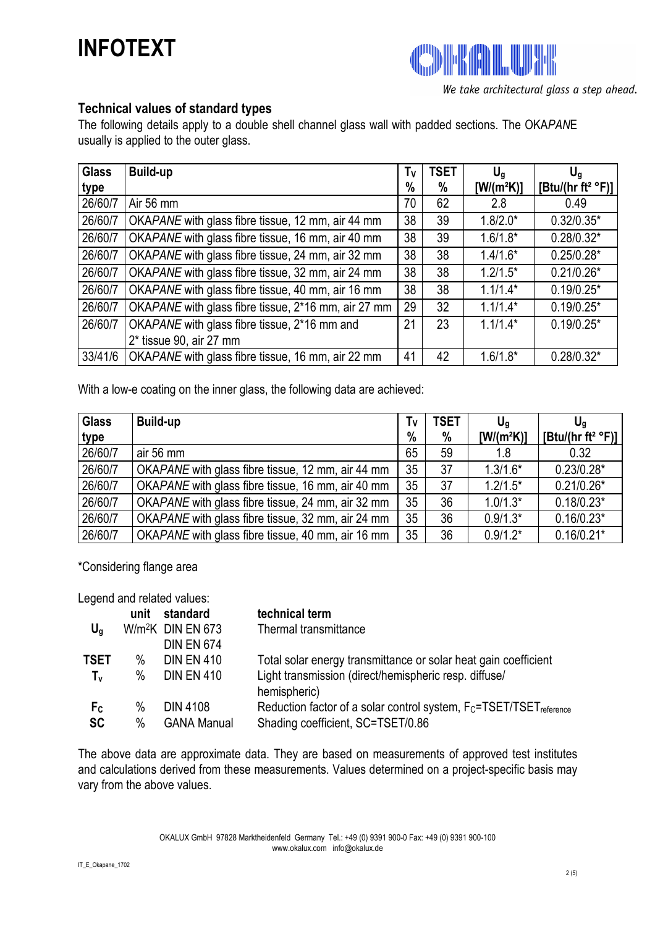## **INFOTEXT**

**ANTININAL** We take architectural glass a step ahead.

### **Technical values of standard types**

The following details apply to a double shell channel glass wall with padded sections. The OKA*PAN*E usually is applied to the outer glass.

| <b>Glass</b> | <b>Build-up</b>                                     | Tν   | <b>TSET</b> | $U_q$        | $U_q$                                  |
|--------------|-----------------------------------------------------|------|-------------|--------------|----------------------------------------|
| type         |                                                     | $\%$ | %           | $[W/(m^2K)]$ | [Btu/(hr ft <sup>2</sup> $\degree$ F)] |
| 26/60/7      | Air 56 mm                                           | 70   | 62          | 2.8          | 0.49                                   |
| 26/60/7      | OKAPANE with glass fibre tissue, 12 mm, air 44 mm   | 38   | 39          | $1.8/2.0*$   | $0.32/0.35*$                           |
| 26/60/7      | OKAPANE with glass fibre tissue, 16 mm, air 40 mm   | 38   | 39          | $1.6/1.8*$   | $0.28/0.32*$                           |
| 26/60/7      | OKAPANE with glass fibre tissue, 24 mm, air 32 mm   | 38   | 38          | $1.4/1.6*$   | $0.25/0.28*$                           |
| 26/60/7      | OKAPANE with glass fibre tissue, 32 mm, air 24 mm   | 38   | 38          | $1.2/1.5*$   | $0.21/0.26*$                           |
| 26/60/7      | OKAPANE with glass fibre tissue, 40 mm, air 16 mm   | 38   | 38          | $1.1/1.4*$   | $0.19/0.25*$                           |
| 26/60/7      | OKAPANE with glass fibre tissue, 2*16 mm, air 27 mm | 29   | 32          | $1.1/1.4*$   | $0.19/0.25*$                           |
| 26/60/7      | OKAPANE with glass fibre tissue, 2*16 mm and        | 21   | 23          | $1.1/1.4*$   | $0.19/0.25*$                           |
|              | $2*$ tissue 90, air 27 mm                           |      |             |              |                                        |
| 33/41/6      | OKAPANE with glass fibre tissue, 16 mm, air 22 mm   | 41   | 42          | $1.6/1.8*$   | $0.28/0.32*$                           |

With a low-e coating on the inner glass, the following data are achieved:

| <b>Glass</b> | <b>Build-up</b>                                   | Tv              | TSET | $U_{\alpha}$ | $U_{\alpha}$                           |
|--------------|---------------------------------------------------|-----------------|------|--------------|----------------------------------------|
| type         |                                                   | $\frac{0}{0}$   | %    | $[W/(m^2K)]$ | [Btu/(hr ft <sup>2</sup> $\degree$ F)] |
| 26/60/7      | air 56 mm                                         | 65              | 59   | 1.8          | 0.32                                   |
| 26/60/7      | OKAPANE with glass fibre tissue, 12 mm, air 44 mm | 35              | 37   | $1.3/1.6*$   | $0.23/0.28*$                           |
| 26/60/7      | OKAPANE with glass fibre tissue, 16 mm, air 40 mm | 35 <sub>2</sub> | 37   | $1.2/1.5*$   | $0.21/0.26*$                           |
| 26/60/7      | OKAPANE with glass fibre tissue, 24 mm, air 32 mm | 35 <sub>2</sub> | 36   | $1.0/1.3*$   | $0.18/0.23*$                           |
| 26/60/7      | OKAPANE with glass fibre tissue, 32 mm, air 24 mm | 35              | 36   | $0.9/1.3*$   | $0.16/0.23*$                           |
| 26/60/7      | OKAPANE with glass fibre tissue, 40 mm, air 16 mm | 35              | 36   | $0.9/1.2*$   | $0.16/0.21*$                           |

\*Considering flange area

Legend and related values:

|                | unit | standard                      | technical term                                                            |
|----------------|------|-------------------------------|---------------------------------------------------------------------------|
| $U_q$          |      | W/m <sup>2</sup> K DIN EN 673 | Thermal transmittance                                                     |
|                |      | <b>DIN EN 674</b>             |                                                                           |
| TSET           | $\%$ | <b>DIN EN 410</b>             | Total solar energy transmittance or solar heat gain coefficient           |
| $T_{\rm v}$    | $\%$ | <b>DIN EN 410</b>             | Light transmission (direct/hemispheric resp. diffuse/<br>hemispheric)     |
| F <sub>c</sub> | $\%$ | <b>DIN 4108</b>               | Reduction factor of a solar control system, $F_C = TSET/TSET_{reference}$ |
| <b>SC</b>      | $\%$ | <b>GANA Manual</b>            | Shading coefficient, SC=TSET/0.86                                         |

The above data are approximate data. They are based on measurements of approved test institutes and calculations derived from these measurements. Values determined on a project-specific basis may vary from the above values.

> OKALUX GmbH 97828 Marktheidenfeld Germany Tel.: +49 (0) 9391 900-0 Fax: +49 (0) 9391 900-100 www.okalux.com info@okalux.de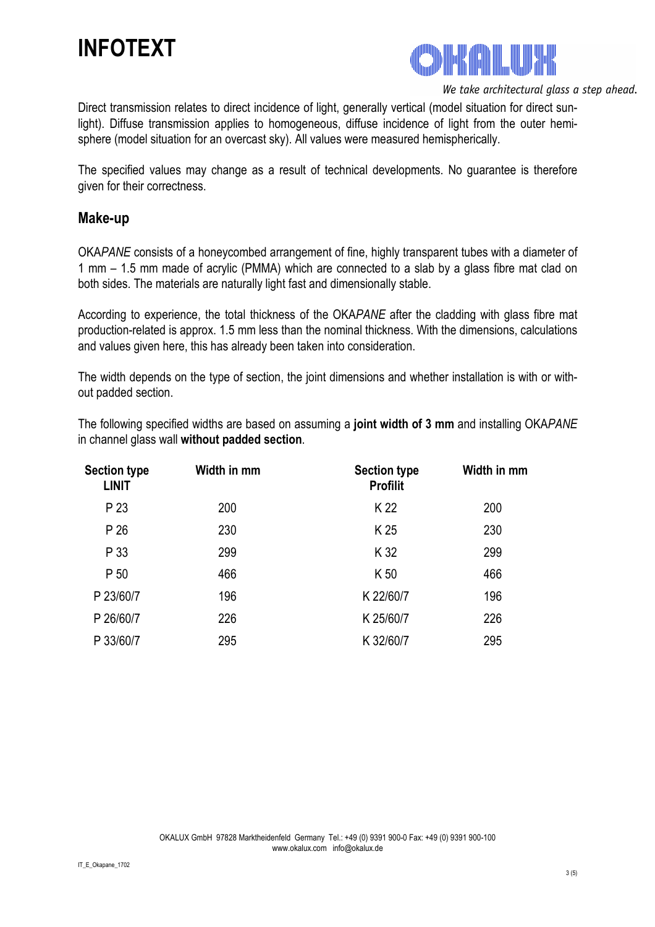## **INFOTEXT**



We take architectural glass a step ahead.

Direct transmission relates to direct incidence of light, generally vertical (model situation for direct sunlight). Diffuse transmission applies to homogeneous, diffuse incidence of light from the outer hemisphere (model situation for an overcast sky). All values were measured hemispherically.

The specified values may change as a result of technical developments. No guarantee is therefore given for their correctness.

### **Make-up**

OKA*PANE* consists of a honeycombed arrangement of fine, highly transparent tubes with a diameter of 1 mm – 1.5 mm made of acrylic (PMMA) which are connected to a slab by a glass fibre mat clad on both sides. The materials are naturally light fast and dimensionally stable.

According to experience, the total thickness of the OKA*PANE* after the cladding with glass fibre mat production-related is approx. 1.5 mm less than the nominal thickness. With the dimensions, calculations and values given here, this has already been taken into consideration.

The width depends on the type of section, the joint dimensions and whether installation is with or without padded section.

The following specified widths are based on assuming a **joint width of 3 mm** and installing OKA*PANE* in channel glass wall **without padded section**.

| <b>Section type</b><br><b>LINIT</b> | Width in mm | <b>Section type</b><br><b>Profilit</b> | Width in mm |
|-------------------------------------|-------------|----------------------------------------|-------------|
| P 23                                | 200         | K 22                                   | 200         |
| P 26                                | 230         | K 25                                   | 230         |
| P 33                                | 299         | K 32                                   | 299         |
| P 50                                | 466         | K 50                                   | 466         |
| P 23/60/7                           | 196         | K 22/60/7                              | 196         |
| P 26/60/7                           | 226         | K 25/60/7                              | 226         |
| P 33/60/7                           | 295         | K 32/60/7                              | 295         |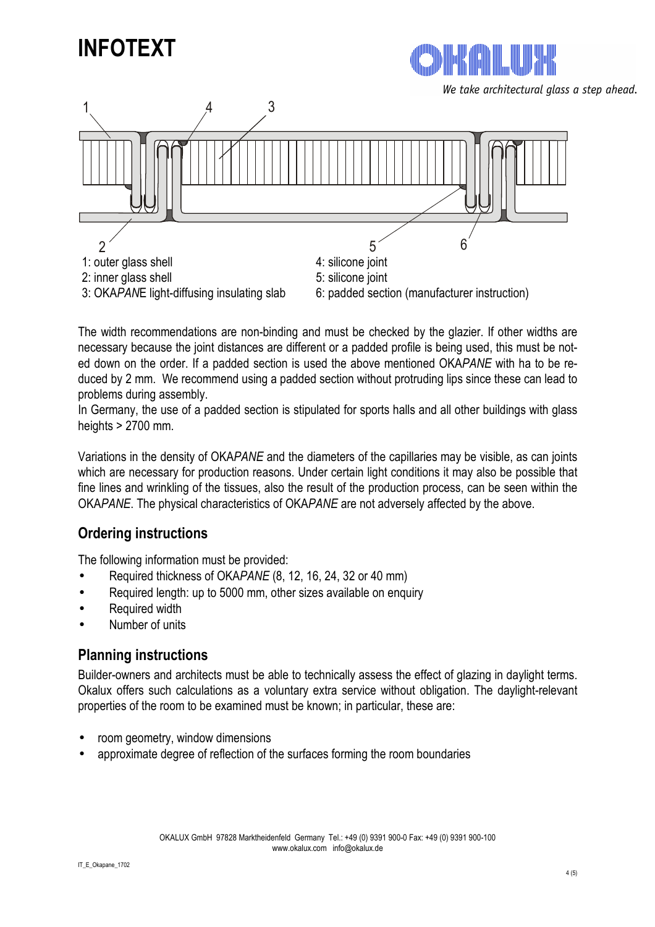



We take architectural glass a step ahead.



The width recommendations are non-binding and must be checked by the glazier. If other widths are necessary because the joint distances are different or a padded profile is being used, this must be noted down on the order. If a padded section is used the above mentioned OKA*PANE* with ha to be reduced by 2 mm. We recommend using a padded section without protruding lips since these can lead to problems during assembly.

In Germany, the use of a padded section is stipulated for sports halls and all other buildings with glass heights > 2700 mm.

Variations in the density of OKA*PANE* and the diameters of the capillaries may be visible, as can joints which are necessary for production reasons. Under certain light conditions it may also be possible that fine lines and wrinkling of the tissues, also the result of the production process, can be seen within the OKA*PANE*. The physical characteristics of OKA*PANE* are not adversely affected by the above.

## **Ordering instructions**

The following information must be provided:

- Required thickness of OKA*PANE* (8, 12, 16, 24, 32 or 40 mm)
- Required length: up to 5000 mm, other sizes available on enquiry
- Required width
- Number of units

### **Planning instructions**

Builder-owners and architects must be able to technically assess the effect of glazing in daylight terms. Okalux offers such calculations as a voluntary extra service without obligation. The daylight-relevant properties of the room to be examined must be known; in particular, these are:

- room geometry, window dimensions
- approximate degree of reflection of the surfaces forming the room boundaries